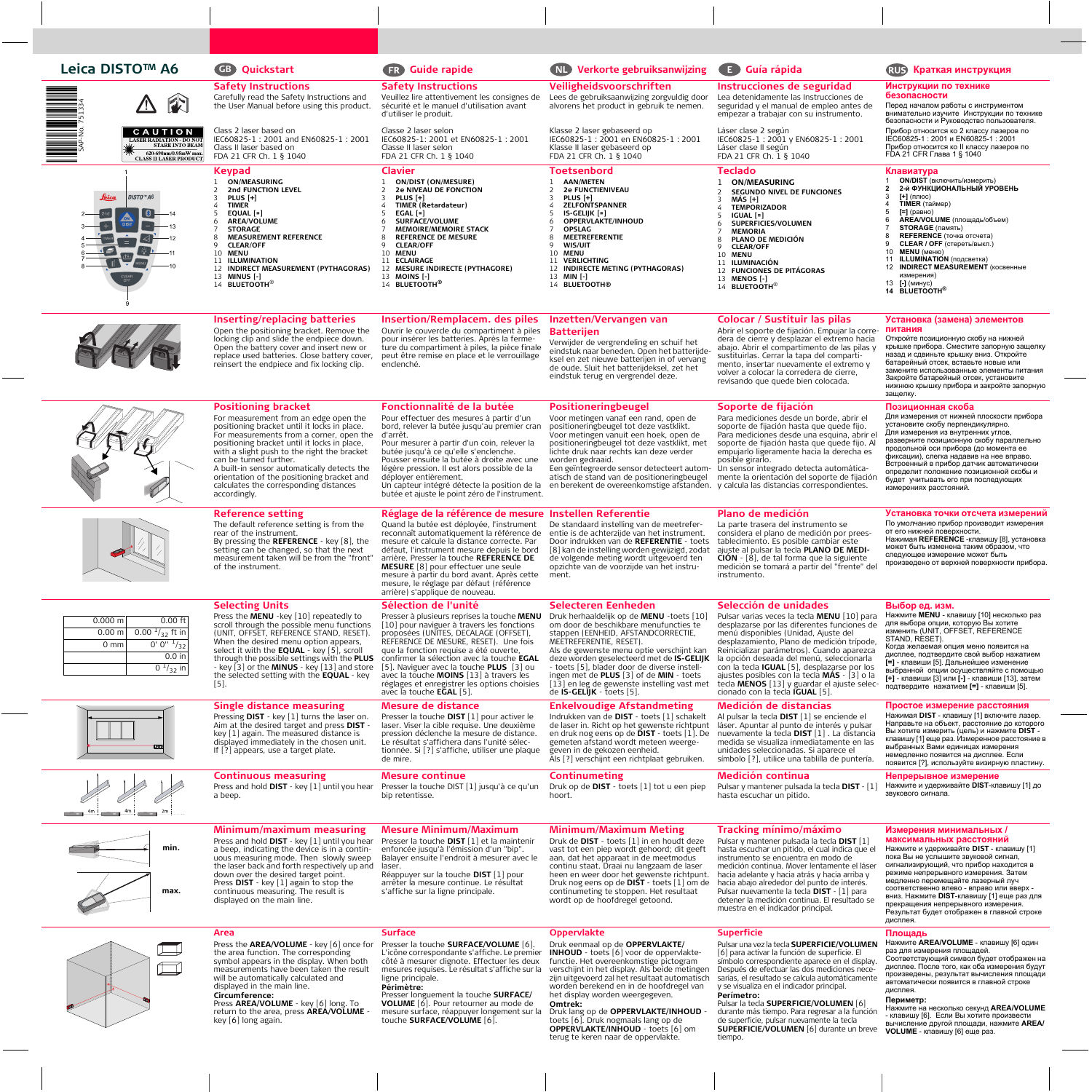## **Leica DISTO™ A6 Quickstart Guide rapide Verkorte gebruiksanwijzing Guía rápida Краткая инструкция**

SAP-No. 751334

*<i>DISTO*<sup>™</sup>A6

 $\vert \vert \$ 

Leica

**CAUTION** 

**CLASS II LASER PRODUCT** 

# **GB**

**Safety Instructions** Carefully read the Safety Instructions and the User Manual before using this product.

Class 2 laser based on IEC60825-1 : 2001 and EN60825-1 : 2001 Class II laser based on FDA 21 CFR Ch. 1 § 1040

### **Keypad** 1 **ON/MEASURING** 2 **2nd FUNCTION LEVEL** 3 **PLUS [+]** 4 **TIMER** 5 **EQUAL [=]** 6 **AREA/VOLUME STORAGE** 8 **MEASUREMENT REFERENCE** 9 **CLEAR/OFF** 10 **MENU** 11 **ILLUMINATION** 12 **INDIRECT MEASUREMENT (PYTHAGORAS)** 13 **MINUS [-]**

14 **BLUETOOTH**®

### **Safety Instructions** Veuillez lire attentivement les consignes de sécurité et le manuel d'utilisation avant d'utiliser le produit. Classe 2 laser selon IEC60825-1: 2001 et EN60825-1 : 2001 Classe II laser selon FDA 21 CFR Ch. 1 § 1040 **Veiligheidsvoorschriften** Lees de gebruiksaanwijzing zorgvuldig door Lea detenidamente las Instrucciones de alvorens het product in gebruik te nemen. Klasse 2 laser gebaseerd op IEC60825-1 : 2001 en EN60825-1 : 2001 Klasse II laser gebaseerd op FDA 21 CFR Ch. 1 § 1040 **Clavier** 1 **ON/DIST (ON/MESURE)** 2 **2e NIVEAU DE FONCTION** 3 **PLUS [+]** 4 **TIMER (Retardateur)** 5 **EGAL [=]** 6 **SURFACE/VOLUME** 7 **MEMOIRE/MEMOIRE STACK** 8 **REFERENCE DE MESURE** 9 **CLEAR/OFF** 10 **MENU** 11 **ECLAIRAGE** 12 **MESURE INDIRECTE (PYTHAGORE)** 13 **MOINS [-]** 14 **BLUETOOTH® Toetsenbord** 1 **AAN/METEN** 2 **2e FUNCTIENIVEAU** 3 **PLUS [+]** 4 **ZELFONTSPANNER** 5 **IS-GELIJK [=]** 6 **OPPERVLAKTE/INHOUD** 7 **OPSLAG** 8 **MEETREFERENTIE** 9 **WIS/UIT** 10 **MENU** 11 **VERLICHTING** 12 **INDIRECTE METING (PYTHAGORAS)** 13 **MIN [-]** 14 **BLUETOOTH® Teclado** 2 **SEGUNDO NIVEL DE FUNCIONES** 3 **MÁS [+]** 4 **TEMPORIZADOR** 5 **IGUAL [=]** 6 **SUPERFICIES/VOLUMEN** 7 **MEMORIA** 8 **PLANO DE MEDICIÓN** 9 **CLEAR/OFF** 10 **MENU** 11 **ILUMINACIÓN** 12 **FUNCIONES DE PITÁGORAS** 13 **MENOS [-]** 14 **BLUETOOTH**® **Inserting/replacing batteries** Open the positioning bracket. Remove the locking clip and slide the endpiece down. Open the battery cover and insert new or replace used batteries. Close battery cover, reinsert the endpiece and fix locking clip. **Insertion/Remplacem. des piles** Ouvrir le couvercle du compartiment à piles pour insérer les batteries. Après la fermeture du compartiment à piles, la pièce finale peut être remise en place et le verrouillage enclenché. **Inzetten/Vervangen van Batterijen** Verwijder de vergrendeling en schuif het eindstuk naar beneden. Open het batterijdeksel en zet nieuwe batterijen in of vervang de oude. Sluit het batterijdeksel, zet het eindstuk terug en vergrendel deze. **Colocar / Sustituir las pilas** Abrir el soporte de fijación. Empujar la corredera de cierre y desplazar el extremo hacia abajo. Abrir el compartimento de las pilas y sustituirlas. Cerrar la tapa del compartimento, insertar nuevamente el extremo y volver a colocar la corredera de cierre, revisando que quede bien colocada.

**Instrucciones de seguridad** seguridad y el manual de empleo antes de empezar a trabajar con su instrumento.

Láser clase 2 según IEC60825-1 : 2001 y EN60825-1 : 2001 Láser clase II según FDA 21 CFR Ch. 1 § 1040

# 1 **ON/MEASURING**

- 1 **ON/DIST** (включить/измерить) **2 2-й ФУНКЦИОНАЛЬНЫЙ УРОВЕНЬ**
	- 3 **[+]** (плюс) 4 **TIMER** (таймер)

**Клавиатура**

- 5 **[=]** (равно) 6 **AREA/VOLUME** (площадь/объем)
- 7 **STORAGE** (память)

**Инструкции по технике**

FDA 21 CFR Глава 1 § 1040

Перед началом работы с инструментом внимательно изучите Инструкции по технике безопасности и Руководство пользователя. Прибор относится ко 2 классу лазеров по IEC60825-1 : 2001 и EN60825-1 : 2001 Прибор относится ко II классу лазеров по

**безопасности**

- **REFERENCE** (точка отсчета) 9 **CLEAR / OFF** (стереть/выкл.)
- 10 **MENU** (меню) 11 **ILLUMINATION** (подсветка)
- 12 **INDIRECT MEASUREMENT** (косвенные
- измерения)
- 13 **[-]** (минус) **14 BLUETOOTH®**

## **Установка (замена) элементов питания**

Откройте позиционную скобу на нижней крышке прибора. Сместите запорную защелку назад и сдвиньте крышку вниз. Откройте батарейный отсек, вставьте новые или замените использованные элементы питания Закройте батарейный отсек, установите нижнюю крышку прибора и закройте запорную защелку.



# displayed in the main line. **Circumference:**

Press **AREA/VOLUME** - key [6] long. To return to the area, press **AREA/VOLUME** key [6] long again.

**Périmètre:**

Presser longuement la touche **SURFACE/ VOLUME** [6]. Pour retourner au mode de mesure surface, réappuyer longement sur la touche **SURFACE/VOLUME** [6].

worden berekend en in de hoofdregel van het display worden weergegeven.

Druk lang op de **OPPERVLAKTE/INHOUD** toets [6]. Druk nogmaals lang op de **OPPERVLAKTE/INHOUD** - toets [6] om terug te keren naar de oppervlakte.

y se visualiza en el indicador principal. **Perímetro:**

Pulsar la tecla **SUPERFICIE/VOLUMEN** [6] durante más tiempo. Para regresar a la función de superficie, pulsar nuevamente la tecla **SUPERFICIE/VOLUMEN** [6] durante un breve tiempo.

автоматически появится в главной строке дисплея.

## **Периметр:**

Нажмите на несколько секунд **AREA/VOLUME** - клавишу [6]. Если Вы хотите произвести вычисление другой площади, нажмите **AREA/ VOLUME** - клавишу [6] еще раз.





| $0.000$ m | $0.00$ ft           |
|-----------|---------------------|
| $0.00$ m  | $0.00^{1/32}$ ft in |
| 0 mm      | $0' 0''$ $1/32$     |
|           | $0.0$ in            |
|           | 0 $\frac{1}{32}$ in |









**Omtrek:**